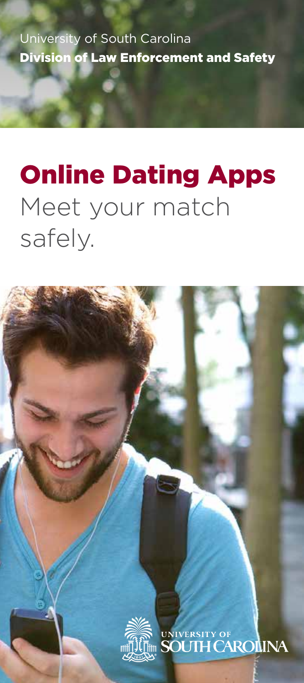University of South Carolina Division of Law Enforcement and Safety

## Online Dating Apps Meet your match safely.

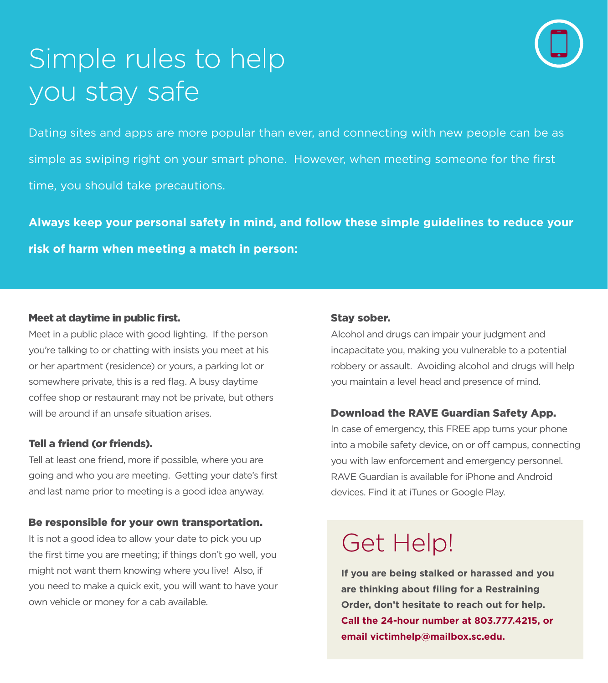

# Simple rules to help you stay safe

Dating sites and apps are more popular than ever, and connecting with new people can be as simple as swiping right on your smart phone. However, when meeting someone for the first time, you should take precautions.

**Always keep your personal safety in mind, and follow these simple guidelines to reduce your risk of harm when meeting a match in person:** 

#### Meet at daytime in public first.

Meet in a public place with good lighting. If the person you're talking to or chatting with insists you meet at his or her apartment (residence) or yours, a parking lot or somewhere private, this is a red flag. A busy daytime coffee shop or restaurant may not be private, but others will be around if an unsafe situation arises.

#### Tell a friend (or friends).

Tell at least one friend, more if possible, where you are going and who you are meeting. Getting your date's first and last name prior to meeting is a good idea anyway.

#### Be responsible for your own transportation.

It is not a good idea to allow your date to pick you up the first time you are meeting; if things don't go well, you might not want them knowing where you live! Also, if you need to make a quick exit, you will want to have your own vehicle or money for a cab available.

#### Stay sober.

Alcohol and drugs can impair your judgment and incapacitate you, making you vulnerable to a potential robbery or assault. Avoiding alcohol and drugs will help you maintain a level head and presence of mind.

#### Download the RAVE Guardian Safety App.

In case of emergency, this FREE app turns your phone into a mobile safety device, on or off campus, connecting you with law enforcement and emergency personnel. RAVE Guardian is available for iPhone and Android devices. Find it at iTunes or Google Play.

### Get Help!

**If you are being stalked or harassed and you are thinking about filing for a Restraining Order, don't hesitate to reach out for help. Call the 24-hour number at 803.777.4215, or email victimhelp@mailbox.sc.edu.**